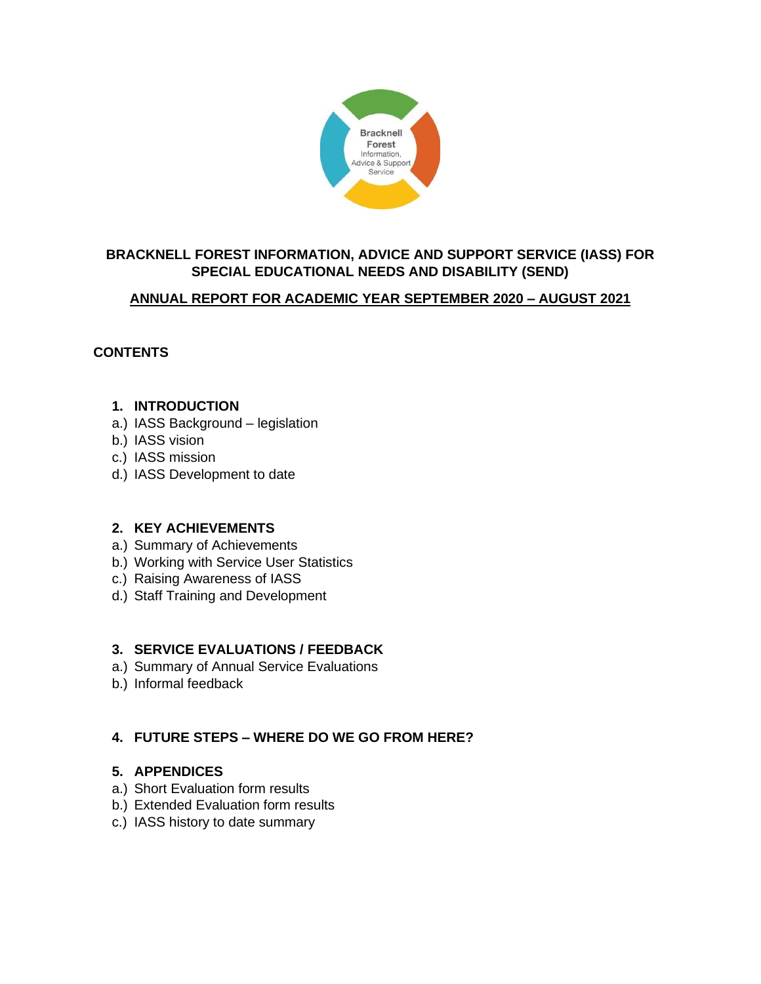

# **BRACKNELL FOREST INFORMATION, ADVICE AND SUPPORT SERVICE (IASS) FOR SPECIAL EDUCATIONAL NEEDS AND DISABILITY (SEND)**

## **ANNUAL REPORT FOR ACADEMIC YEAR SEPTEMBER 2020 – AUGUST 2021**

## **CONTENTS**

## **1. INTRODUCTION**

- a.) IASS Background legislation
- b.) IASS vision
- c.) IASS mission
- d.) IASS Development to date

## **2. KEY ACHIEVEMENTS**

- a.) Summary of Achievements
- b.) Working with Service User Statistics
- c.) Raising Awareness of IASS
- d.) Staff Training and Development

## **3. SERVICE EVALUATIONS / FEEDBACK**

- a.) Summary of Annual Service Evaluations
- b.) Informal feedback

## **4. FUTURE STEPS – WHERE DO WE GO FROM HERE?**

## **5. APPENDICES**

- a.) Short Evaluation form results
- b.) Extended Evaluation form results
- c.) IASS history to date summary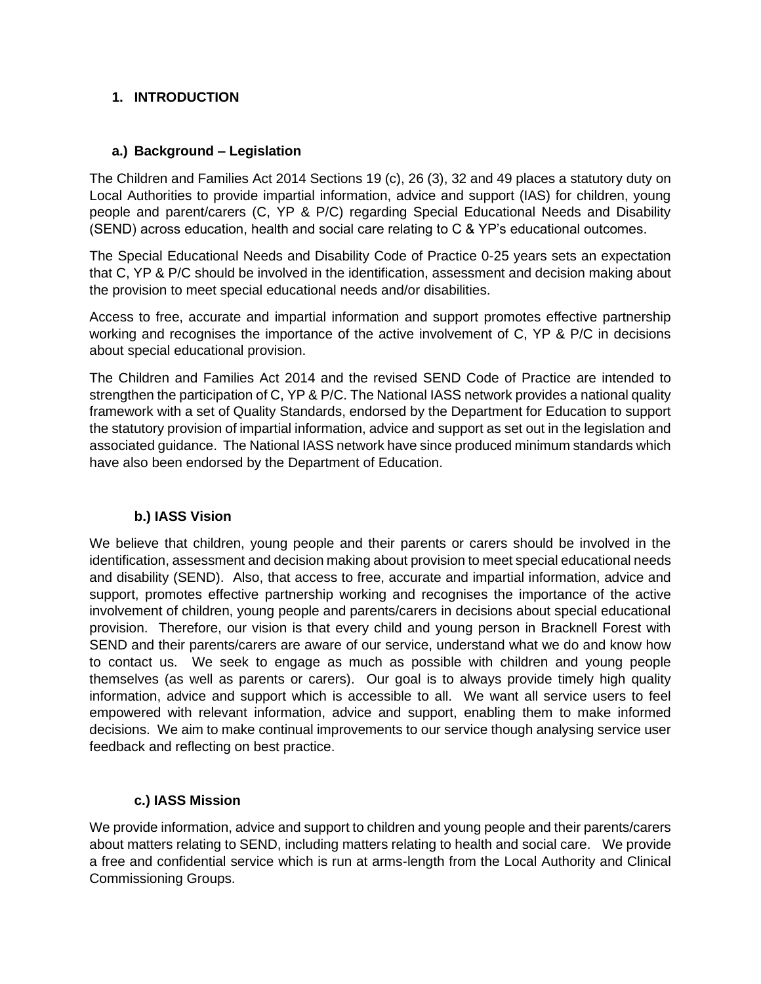## **1. INTRODUCTION**

## **a.) Background – Legislation**

The Children and Families Act 2014 Sections 19 (c), 26 (3), 32 and 49 places a statutory duty on Local Authorities to provide impartial information, advice and support (IAS) for children, young people and parent/carers (C, YP & P/C) regarding Special Educational Needs and Disability (SEND) across education, health and social care relating to C & YP's educational outcomes.

The Special Educational Needs and Disability Code of Practice 0-25 years sets an expectation that C, YP & P/C should be involved in the identification, assessment and decision making about the provision to meet special educational needs and/or disabilities.

Access to free, accurate and impartial information and support promotes effective partnership working and recognises the importance of the active involvement of C, YP & P/C in decisions about special educational provision.

The Children and Families Act 2014 and the revised SEND Code of Practice are intended to strengthen the participation of C, YP & P/C. The National IASS network provides a national quality framework with a set of Quality Standards, endorsed by the Department for Education to support the statutory provision of impartial information, advice and support as set out in the legislation and associated guidance. The National IASS network have since produced minimum standards which have also been endorsed by the Department of Education.

## **b.) IASS Vision**

We believe that children, young people and their parents or carers should be involved in the identification, assessment and decision making about provision to meet special educational needs and disability (SEND). Also, that access to free, accurate and impartial information, advice and support, promotes effective partnership working and recognises the importance of the active involvement of children, young people and parents/carers in decisions about special educational provision. Therefore, our vision is that every child and young person in Bracknell Forest with SEND and their parents/carers are aware of our service, understand what we do and know how to contact us. We seek to engage as much as possible with children and young people themselves (as well as parents or carers). Our goal is to always provide timely high quality information, advice and support which is accessible to all. We want all service users to feel empowered with relevant information, advice and support, enabling them to make informed decisions. We aim to make continual improvements to our service though analysing service user feedback and reflecting on best practice.

## **c.) IASS Mission**

We provide information, advice and support to children and young people and their parents/carers about matters relating to SEND, including matters relating to health and social care. We provide a free and confidential service which is run at arms-length from the Local Authority and Clinical Commissioning Groups.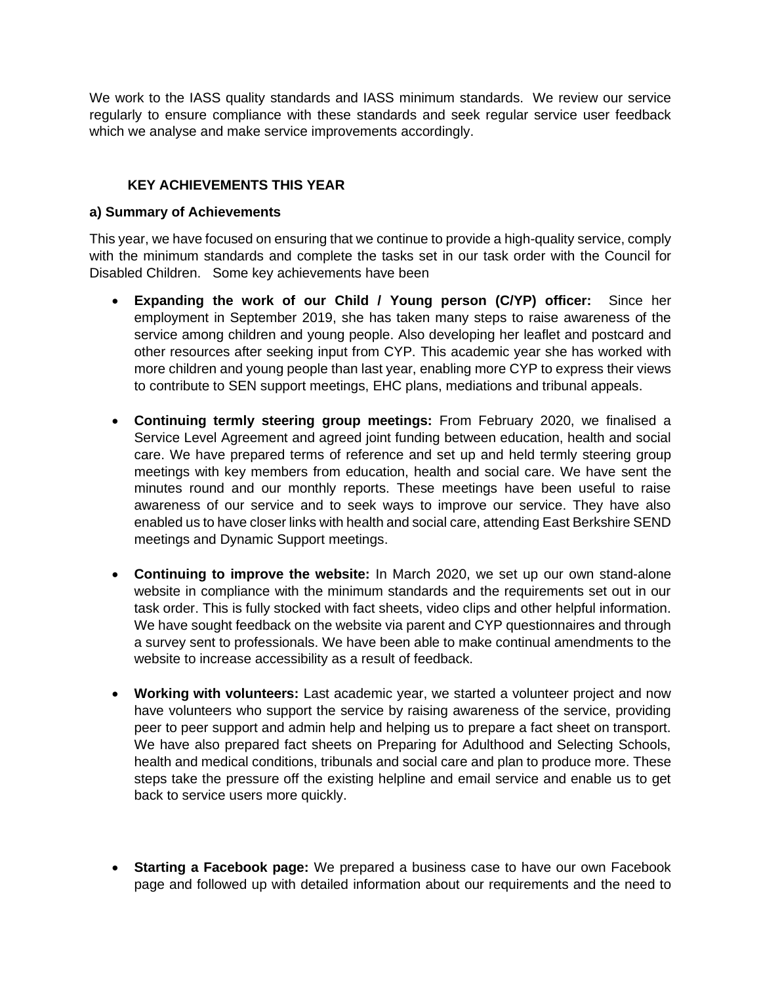We work to the IASS quality standards and IASS minimum standards. We review our service regularly to ensure compliance with these standards and seek regular service user feedback which we analyse and make service improvements accordingly.

## **KEY ACHIEVEMENTS THIS YEAR**

#### **a) Summary of Achievements**

This year, we have focused on ensuring that we continue to provide a high-quality service, comply with the minimum standards and complete the tasks set in our task order with the Council for Disabled Children. Some key achievements have been

- **Expanding the work of our Child / Young person (C/YP) officer:** Since her employment in September 2019, she has taken many steps to raise awareness of the service among children and young people. Also developing her leaflet and postcard and other resources after seeking input from CYP. This academic year she has worked with more children and young people than last year, enabling more CYP to express their views to contribute to SEN support meetings, EHC plans, mediations and tribunal appeals.
- **Continuing termly steering group meetings:** From February 2020, we finalised a Service Level Agreement and agreed joint funding between education, health and social care. We have prepared terms of reference and set up and held termly steering group meetings with key members from education, health and social care. We have sent the minutes round and our monthly reports. These meetings have been useful to raise awareness of our service and to seek ways to improve our service. They have also enabled us to have closer links with health and social care, attending East Berkshire SEND meetings and Dynamic Support meetings.
- **Continuing to improve the website:** In March 2020, we set up our own stand-alone website in compliance with the minimum standards and the requirements set out in our task order. This is fully stocked with fact sheets, video clips and other helpful information. We have sought feedback on the website via parent and CYP questionnaires and through a survey sent to professionals. We have been able to make continual amendments to the website to increase accessibility as a result of feedback.
- **Working with volunteers:** Last academic year, we started a volunteer project and now have volunteers who support the service by raising awareness of the service, providing peer to peer support and admin help and helping us to prepare a fact sheet on transport. We have also prepared fact sheets on Preparing for Adulthood and Selecting Schools, health and medical conditions, tribunals and social care and plan to produce more. These steps take the pressure off the existing helpline and email service and enable us to get back to service users more quickly.
- **Starting a Facebook page:** We prepared a business case to have our own Facebook page and followed up with detailed information about our requirements and the need to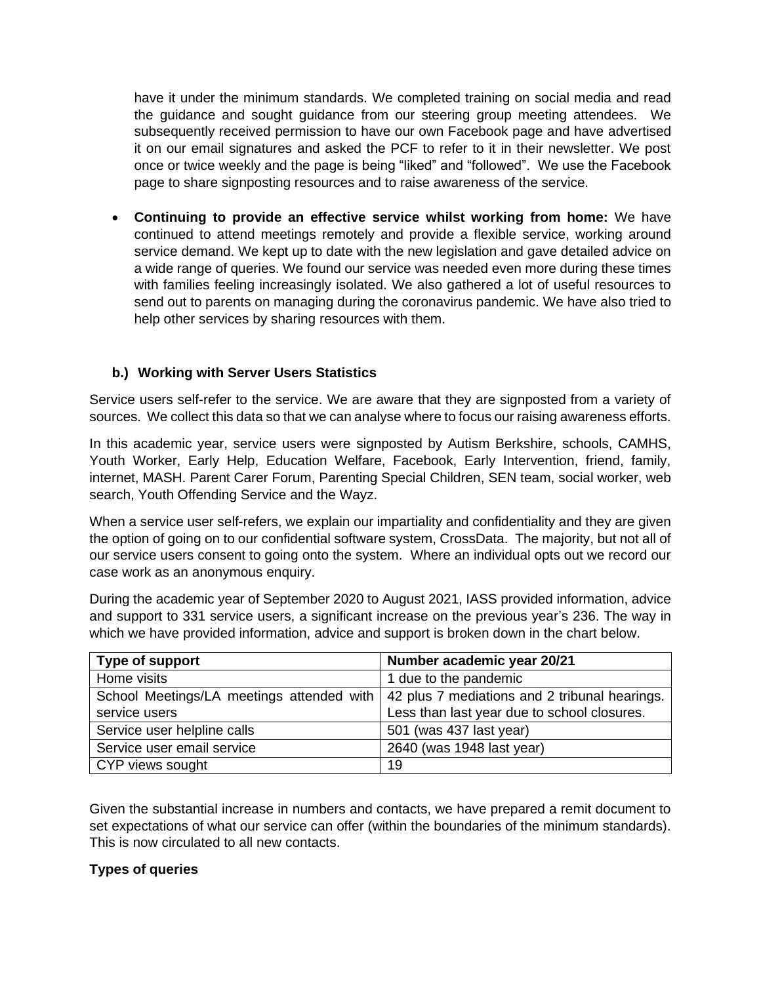have it under the minimum standards. We completed training on social media and read the guidance and sought guidance from our steering group meeting attendees. We subsequently received permission to have our own Facebook page and have advertised it on our email signatures and asked the PCF to refer to it in their newsletter. We post once or twice weekly and the page is being "liked" and "followed". We use the Facebook page to share signposting resources and to raise awareness of the service.

• **Continuing to provide an effective service whilst working from home:** We have continued to attend meetings remotely and provide a flexible service, working around service demand. We kept up to date with the new legislation and gave detailed advice on a wide range of queries. We found our service was needed even more during these times with families feeling increasingly isolated. We also gathered a lot of useful resources to send out to parents on managing during the coronavirus pandemic. We have also tried to help other services by sharing resources with them.

## **b.) Working with Server Users Statistics**

Service users self-refer to the service. We are aware that they are signposted from a variety of sources. We collect this data so that we can analyse where to focus our raising awareness efforts.

In this academic year, service users were signposted by Autism Berkshire, schools, CAMHS, Youth Worker, Early Help, Education Welfare, Facebook, Early Intervention, friend, family, internet, MASH. Parent Carer Forum, Parenting Special Children, SEN team, social worker, web search, Youth Offending Service and the Wayz.

When a service user self-refers, we explain our impartiality and confidentiality and they are given the option of going on to our confidential software system, CrossData. The majority, but not all of our service users consent to going onto the system. Where an individual opts out we record our case work as an anonymous enquiry.

During the academic year of September 2020 to August 2021, IASS provided information, advice and support to 331 service users, a significant increase on the previous year's 236. The way in which we have provided information, advice and support is broken down in the chart below.

| Type of support             | Number academic year 20/21                                                                      |
|-----------------------------|-------------------------------------------------------------------------------------------------|
| Home visits                 | 1 due to the pandemic                                                                           |
|                             | School Meetings/LA meetings attended with $\vert$ 42 plus 7 mediations and 2 tribunal hearings. |
| service users               | Less than last year due to school closures.                                                     |
| Service user helpline calls | 501 (was 437 last year)                                                                         |
| Service user email service  | 2640 (was 1948 last year)                                                                       |
| CYP views sought            | 19                                                                                              |

Given the substantial increase in numbers and contacts, we have prepared a remit document to set expectations of what our service can offer (within the boundaries of the minimum standards). This is now circulated to all new contacts.

## **Types of queries**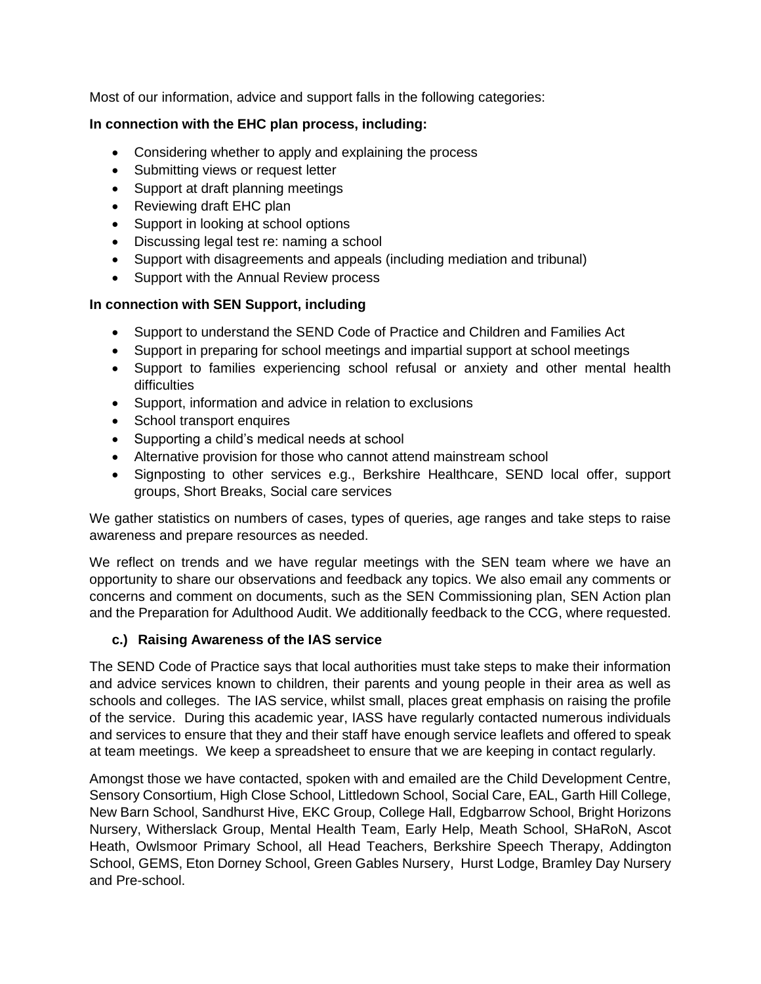Most of our information, advice and support falls in the following categories:

## **In connection with the EHC plan process, including:**

- Considering whether to apply and explaining the process
- Submitting views or request letter
- Support at draft planning meetings
- Reviewing draft EHC plan
- Support in looking at school options
- Discussing legal test re: naming a school
- Support with disagreements and appeals (including mediation and tribunal)
- Support with the Annual Review process

## **In connection with SEN Support, including**

- Support to understand the SEND Code of Practice and Children and Families Act
- Support in preparing for school meetings and impartial support at school meetings
- Support to families experiencing school refusal or anxiety and other mental health difficulties
- Support, information and advice in relation to exclusions
- School transport enquires
- Supporting a child's medical needs at school
- Alternative provision for those who cannot attend mainstream school
- Signposting to other services e.g., Berkshire Healthcare, SEND local offer, support groups, Short Breaks, Social care services

We gather statistics on numbers of cases, types of queries, age ranges and take steps to raise awareness and prepare resources as needed.

We reflect on trends and we have regular meetings with the SEN team where we have an opportunity to share our observations and feedback any topics. We also email any comments or concerns and comment on documents, such as the SEN Commissioning plan, SEN Action plan and the Preparation for Adulthood Audit. We additionally feedback to the CCG, where requested.

## **c.) Raising Awareness of the IAS service**

The SEND Code of Practice says that local authorities must take steps to make their information and advice services known to children, their parents and young people in their area as well as schools and colleges. The IAS service, whilst small, places great emphasis on raising the profile of the service. During this academic year, IASS have regularly contacted numerous individuals and services to ensure that they and their staff have enough service leaflets and offered to speak at team meetings. We keep a spreadsheet to ensure that we are keeping in contact regularly.

Amongst those we have contacted, spoken with and emailed are the Child Development Centre, Sensory Consortium, High Close School, Littledown School, Social Care, EAL, Garth Hill College, New Barn School, Sandhurst Hive, EKC Group, College Hall, Edgbarrow School, Bright Horizons Nursery, Witherslack Group, Mental Health Team, Early Help, Meath School, SHaRoN, Ascot Heath, Owlsmoor Primary School, all Head Teachers, Berkshire Speech Therapy, Addington School, GEMS, Eton Dorney School, Green Gables Nursery, Hurst Lodge, Bramley Day Nursery and Pre-school.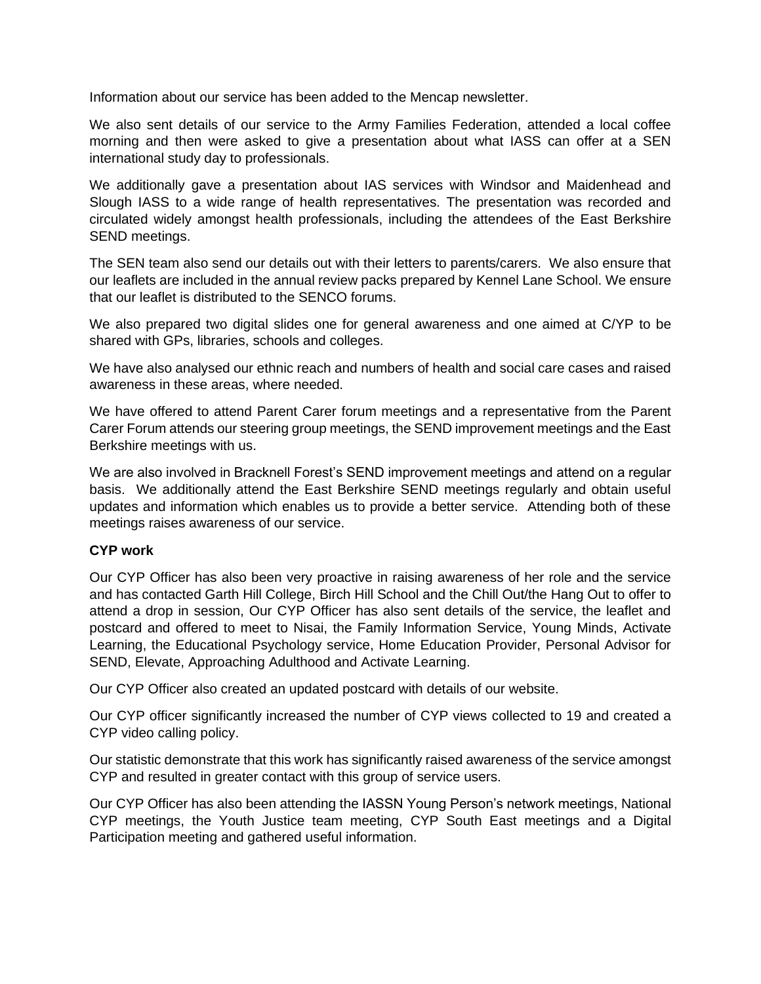Information about our service has been added to the Mencap newsletter.

We also sent details of our service to the Army Families Federation, attended a local coffee morning and then were asked to give a presentation about what IASS can offer at a SEN international study day to professionals.

We additionally gave a presentation about IAS services with Windsor and Maidenhead and Slough IASS to a wide range of health representatives. The presentation was recorded and circulated widely amongst health professionals, including the attendees of the East Berkshire SEND meetings.

The SEN team also send our details out with their letters to parents/carers. We also ensure that our leaflets are included in the annual review packs prepared by Kennel Lane School. We ensure that our leaflet is distributed to the SENCO forums.

We also prepared two digital slides one for general awareness and one aimed at C/YP to be shared with GPs, libraries, schools and colleges.

We have also analysed our ethnic reach and numbers of health and social care cases and raised awareness in these areas, where needed.

We have offered to attend Parent Carer forum meetings and a representative from the Parent Carer Forum attends our steering group meetings, the SEND improvement meetings and the East Berkshire meetings with us.

We are also involved in Bracknell Forest's SEND improvement meetings and attend on a regular basis. We additionally attend the East Berkshire SEND meetings regularly and obtain useful updates and information which enables us to provide a better service. Attending both of these meetings raises awareness of our service.

## **CYP work**

Our CYP Officer has also been very proactive in raising awareness of her role and the service and has contacted Garth Hill College, Birch Hill School and the Chill Out/the Hang Out to offer to attend a drop in session, Our CYP Officer has also sent details of the service, the leaflet and postcard and offered to meet to Nisai, the Family Information Service, Young Minds, Activate Learning, the Educational Psychology service, Home Education Provider, Personal Advisor for SEND, Elevate, Approaching Adulthood and Activate Learning.

Our CYP Officer also created an updated postcard with details of our website.

Our CYP officer significantly increased the number of CYP views collected to 19 and created a CYP video calling policy.

Our statistic demonstrate that this work has significantly raised awareness of the service amongst CYP and resulted in greater contact with this group of service users.

Our CYP Officer has also been attending the IASSN Young Person's network meetings, National CYP meetings, the Youth Justice team meeting, CYP South East meetings and a Digital Participation meeting and gathered useful information.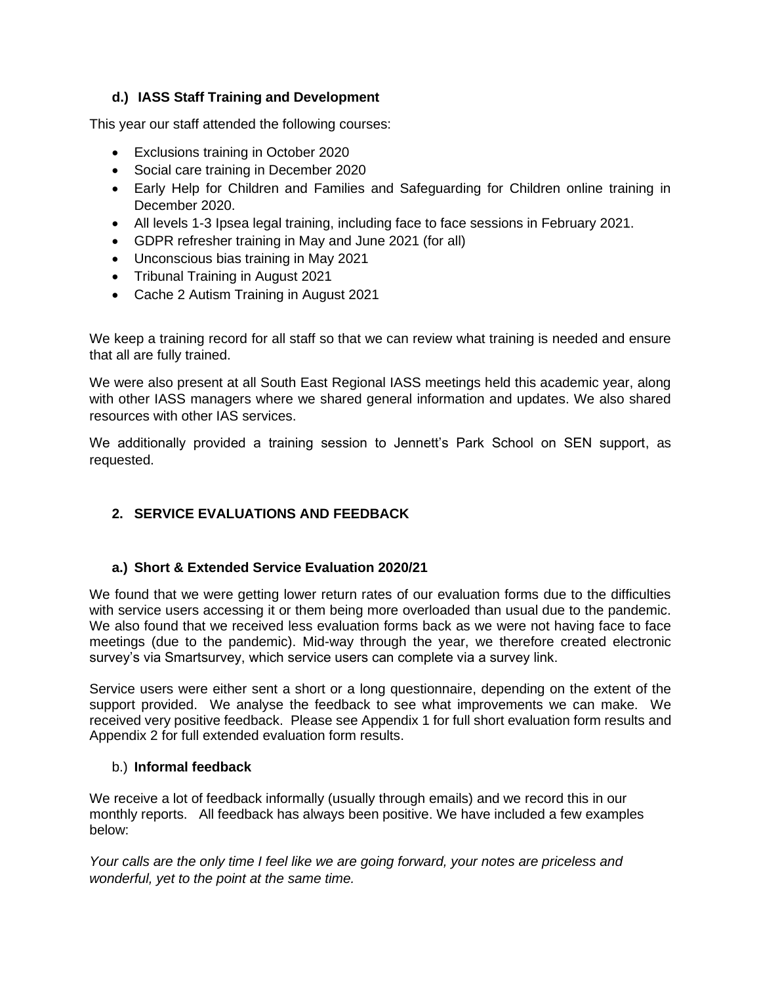## **d.) IASS Staff Training and Development**

This year our staff attended the following courses:

- Exclusions training in October 2020
- Social care training in December 2020
- Early Help for Children and Families and Safeguarding for Children online training in December 2020.
- All levels 1-3 Ipsea legal training, including face to face sessions in February 2021.
- GDPR refresher training in May and June 2021 (for all)
- Unconscious bias training in May 2021
- Tribunal Training in August 2021
- Cache 2 Autism Training in August 2021

We keep a training record for all staff so that we can review what training is needed and ensure that all are fully trained.

We were also present at all South East Regional IASS meetings held this academic year, along with other IASS managers where we shared general information and updates. We also shared resources with other IAS services.

We additionally provided a training session to Jennett's Park School on SEN support, as requested.

# **2. SERVICE EVALUATIONS AND FEEDBACK**

## **a.) Short & Extended Service Evaluation 2020/21**

We found that we were getting lower return rates of our evaluation forms due to the difficulties with service users accessing it or them being more overloaded than usual due to the pandemic. We also found that we received less evaluation forms back as we were not having face to face meetings (due to the pandemic). Mid-way through the year, we therefore created electronic survey's via Smartsurvey, which service users can complete via a survey link.

Service users were either sent a short or a long questionnaire, depending on the extent of the support provided. We analyse the feedback to see what improvements we can make. We received very positive feedback. Please see Appendix 1 for full short evaluation form results and Appendix 2 for full extended evaluation form results.

## b.) **Informal feedback**

We receive a lot of feedback informally (usually through emails) and we record this in our monthly reports. All feedback has always been positive. We have included a few examples below:

*Your calls are the only time I feel like we are going forward, your notes are priceless and wonderful, yet to the point at the same time.*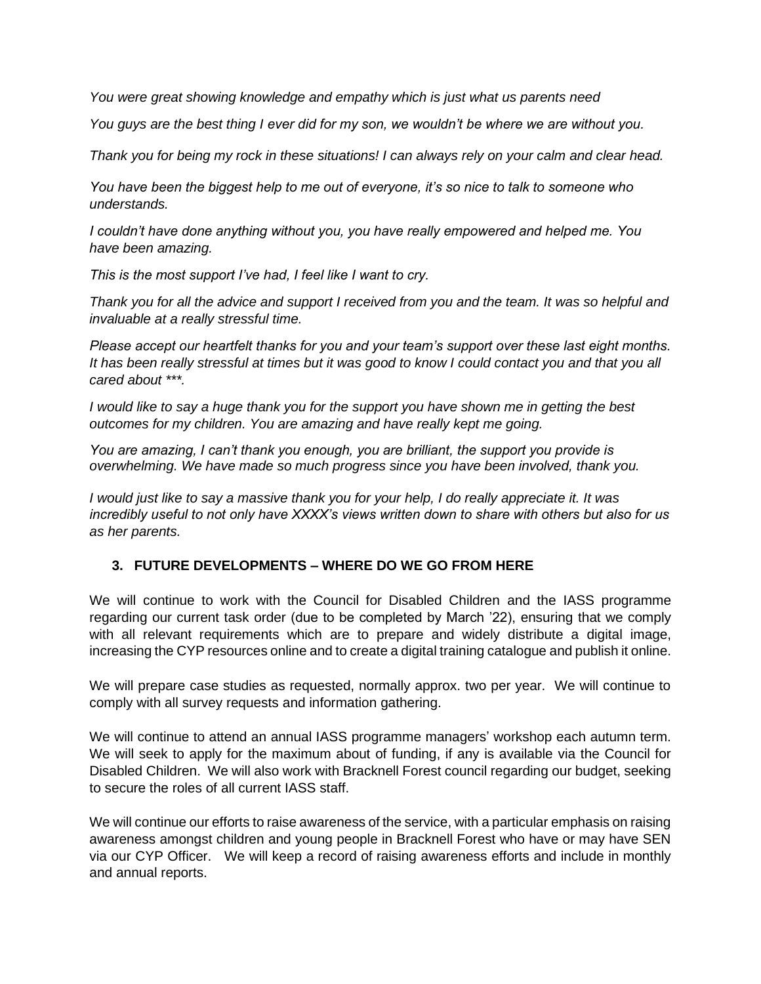*You were great showing knowledge and empathy which is just what us parents need*

*You guys are the best thing I ever did for my son, we wouldn't be where we are without you.*

*Thank you for being my rock in these situations! I can always rely on your calm and clear head.* 

*You have been the biggest help to me out of everyone, it's so nice to talk to someone who understands.*

*I couldn't have done anything without you, you have really empowered and helped me. You have been amazing.* 

*This is the most support I've had, I feel like I want to cry.* 

*Thank you for all the advice and support I received from you and the team. It was so helpful and invaluable at a really stressful time.* 

*Please accept our heartfelt thanks for you and your team's support over these last eight months. It has been really stressful at times but it was good to know I could contact you and that you all cared about \*\*\*.* 

*I would like to say a huge thank you for the support you have shown me in getting the best outcomes for my children. You are amazing and have really kept me going.*

*You are amazing, I can't thank you enough, you are brilliant, the support you provide is overwhelming. We have made so much progress since you have been involved, thank you.* 

*I would just like to say a massive thank you for your help, I do really appreciate it. It was incredibly useful to not only have XXXX's views written down to share with others but also for us as her parents.*

## **3. FUTURE DEVELOPMENTS – WHERE DO WE GO FROM HERE**

We will continue to work with the Council for Disabled Children and the IASS programme regarding our current task order (due to be completed by March '22), ensuring that we comply with all relevant requirements which are to prepare and widely distribute a digital image, increasing the CYP resources online and to create a digital training catalogue and publish it online.

We will prepare case studies as requested, normally approx. two per year. We will continue to comply with all survey requests and information gathering.

We will continue to attend an annual IASS programme managers' workshop each autumn term. We will seek to apply for the maximum about of funding, if any is available via the Council for Disabled Children. We will also work with Bracknell Forest council regarding our budget, seeking to secure the roles of all current IASS staff.

We will continue our efforts to raise awareness of the service, with a particular emphasis on raising awareness amongst children and young people in Bracknell Forest who have or may have SEN via our CYP Officer. We will keep a record of raising awareness efforts and include in monthly and annual reports.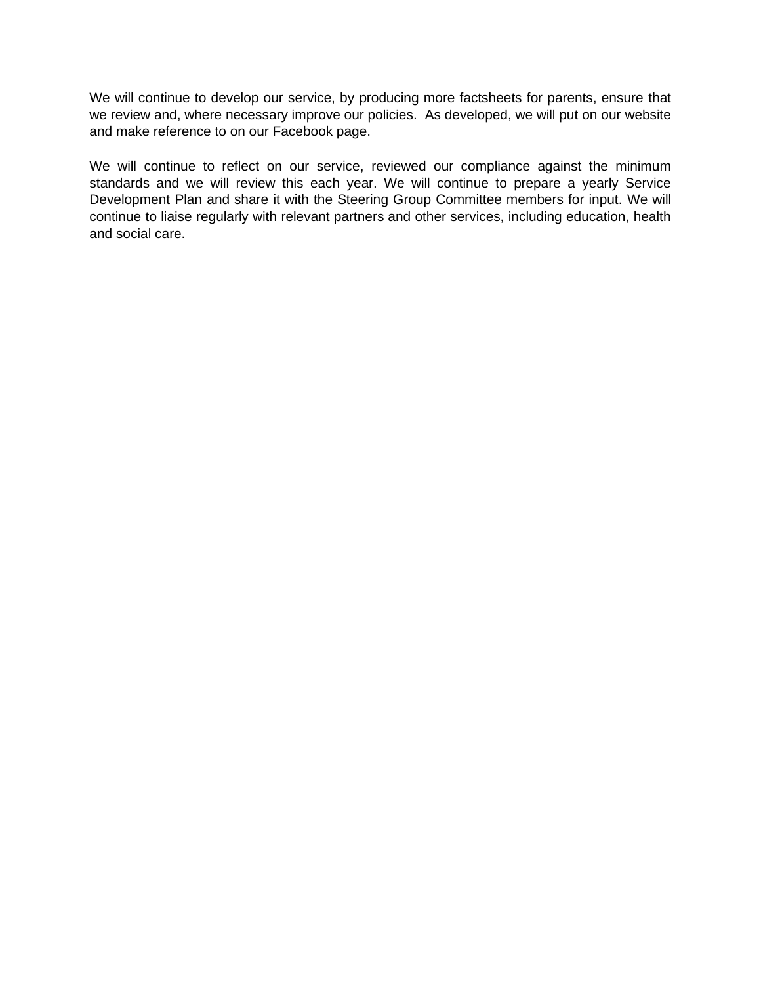We will continue to develop our service, by producing more factsheets for parents, ensure that we review and, where necessary improve our policies. As developed, we will put on our website and make reference to on our Facebook page.

We will continue to reflect on our service, reviewed our compliance against the minimum standards and we will review this each year. We will continue to prepare a yearly Service Development Plan and share it with the Steering Group Committee members for input. We will continue to liaise regularly with relevant partners and other services, including education, health and social care.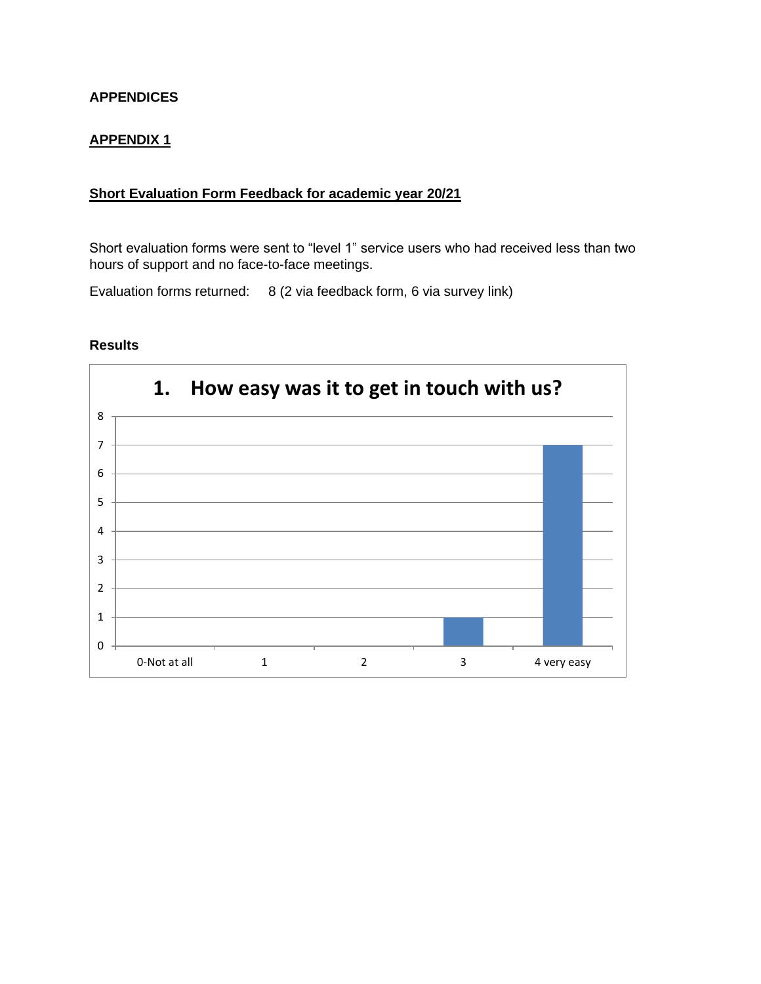## **APPENDICES**

## **APPENDIX 1**

# **Short Evaluation Form Feedback for academic year 20/21**

Short evaluation forms were sent to "level 1" service users who had received less than two hours of support and no face-to-face meetings.

Evaluation forms returned: 8 (2 via feedback form, 6 via survey link)

#### **Results**

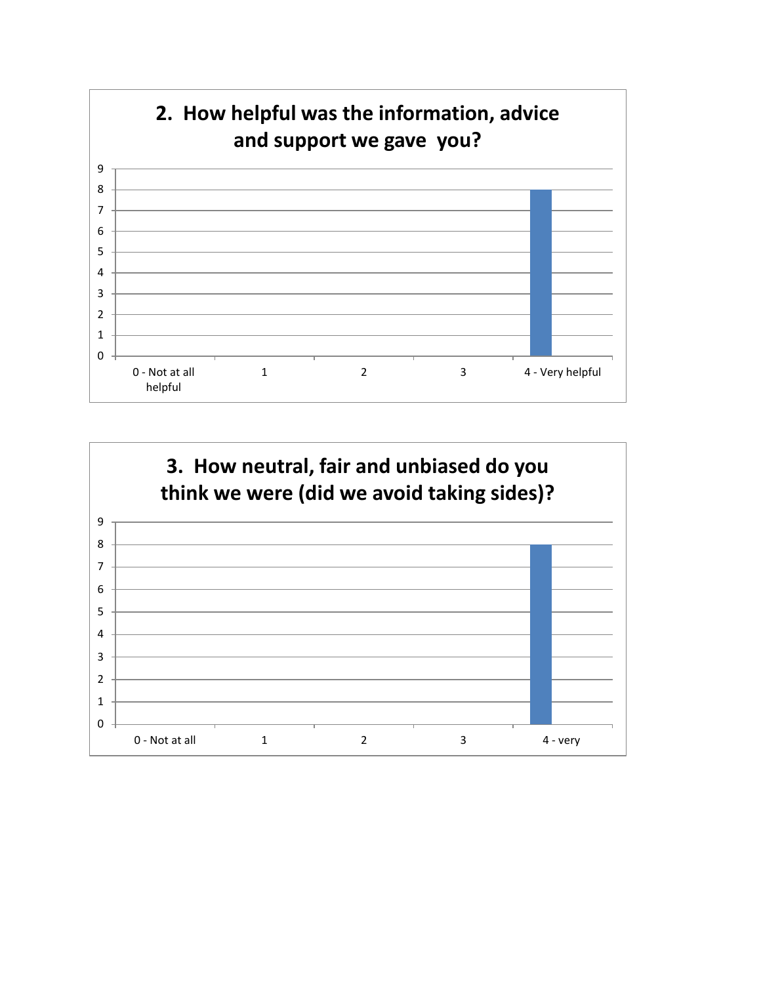

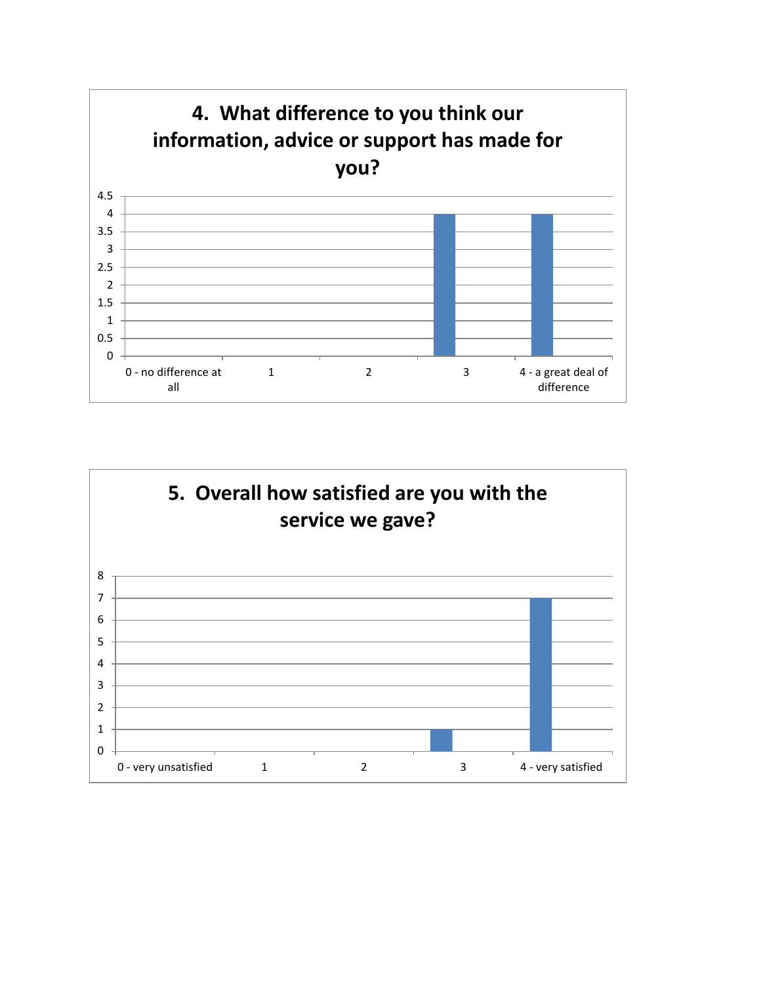

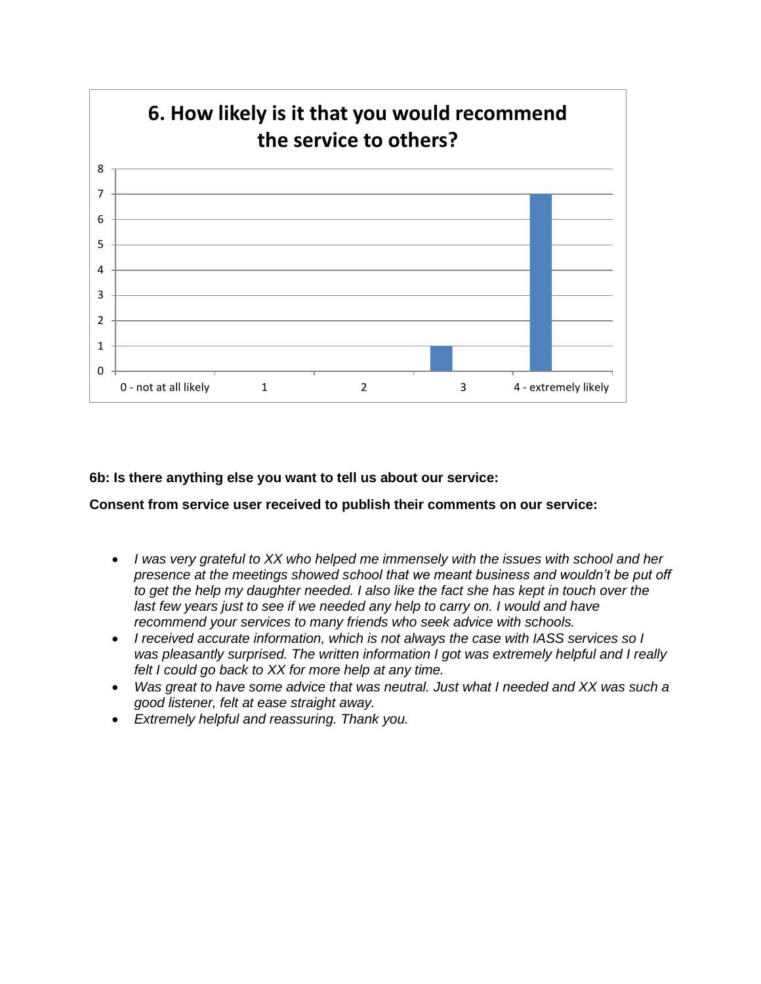

**6b: Is there anything else you want to tell us about our service:**

**Consent from service user received to publish their comments on our service:**

- *I was very grateful to XX who helped me immensely with the issues with school and her presence at the meetings showed school that we meant business and wouldn't be put off to get the help my daughter needed. I also like the fact she has kept in touch over the*  last few years just to see if we needed any help to carry on. I would and have *recommend your services to many friends who seek advice with schools.*
- *I received accurate information, which is not always the case with IASS services so I was pleasantly surprised. The written information I got was extremely helpful and I really felt I could go back to XX for more help at any time.*
- *Was great to have some advice that was neutral. Just what I needed and XX was such a good listener, felt at ease straight away.*
- *Extremely helpful and reassuring. Thank you.*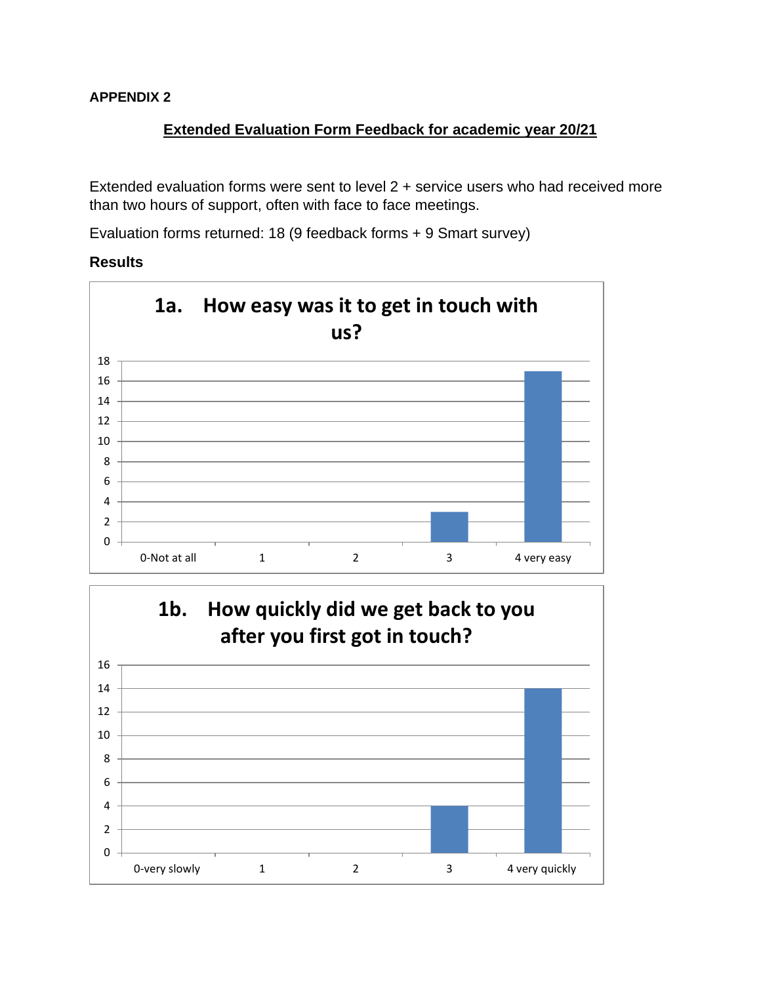# **Extended Evaluation Form Feedback for academic year 20/21**

Extended evaluation forms were sent to level 2 + service users who had received more than two hours of support, often with face to face meetings.

Evaluation forms returned: 18 (9 feedback forms + 9 Smart survey)

## **Results**



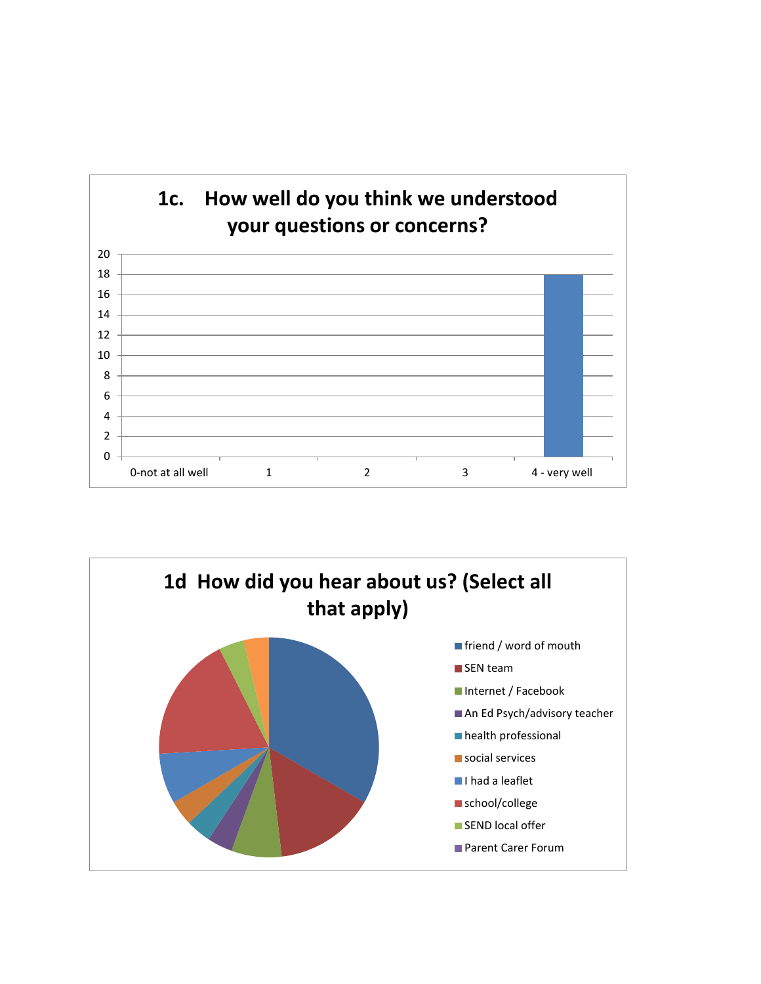

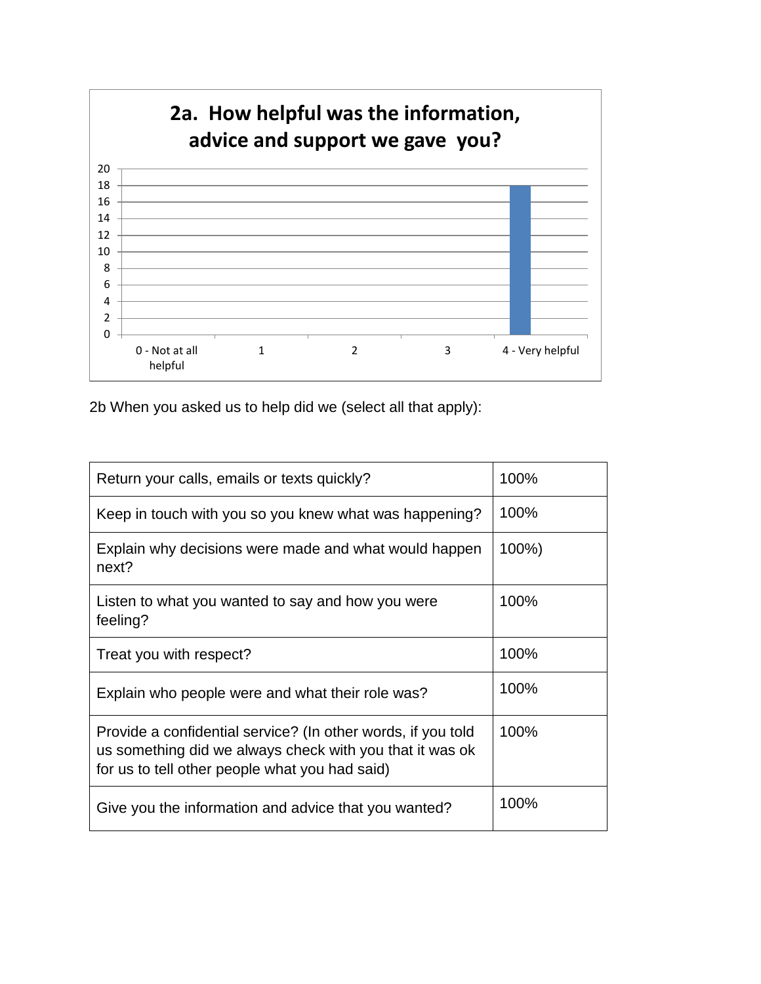

2b When you asked us to help did we (select all that apply):

| Return your calls, emails or texts quickly?                                                                                                                                | 100%  |
|----------------------------------------------------------------------------------------------------------------------------------------------------------------------------|-------|
| Keep in touch with you so you knew what was happening?                                                                                                                     | 100%  |
| Explain why decisions were made and what would happen<br>next?                                                                                                             | 100%) |
| Listen to what you wanted to say and how you were<br>feeling?                                                                                                              | 100%  |
| Treat you with respect?                                                                                                                                                    | 100%  |
| Explain who people were and what their role was?                                                                                                                           | 100%  |
| Provide a confidential service? (In other words, if you told<br>us something did we always check with you that it was ok<br>for us to tell other people what you had said) | 100%  |
| Give you the information and advice that you wanted?                                                                                                                       | 100%  |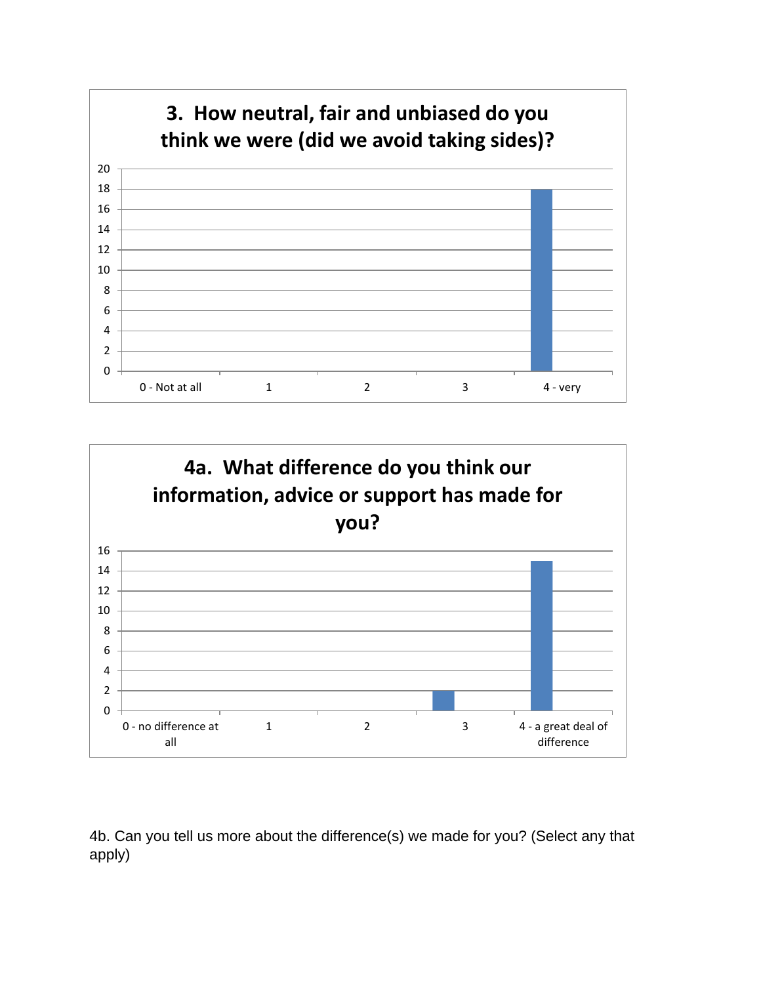



4b. Can you tell us more about the difference(s) we made for you? (Select any that apply)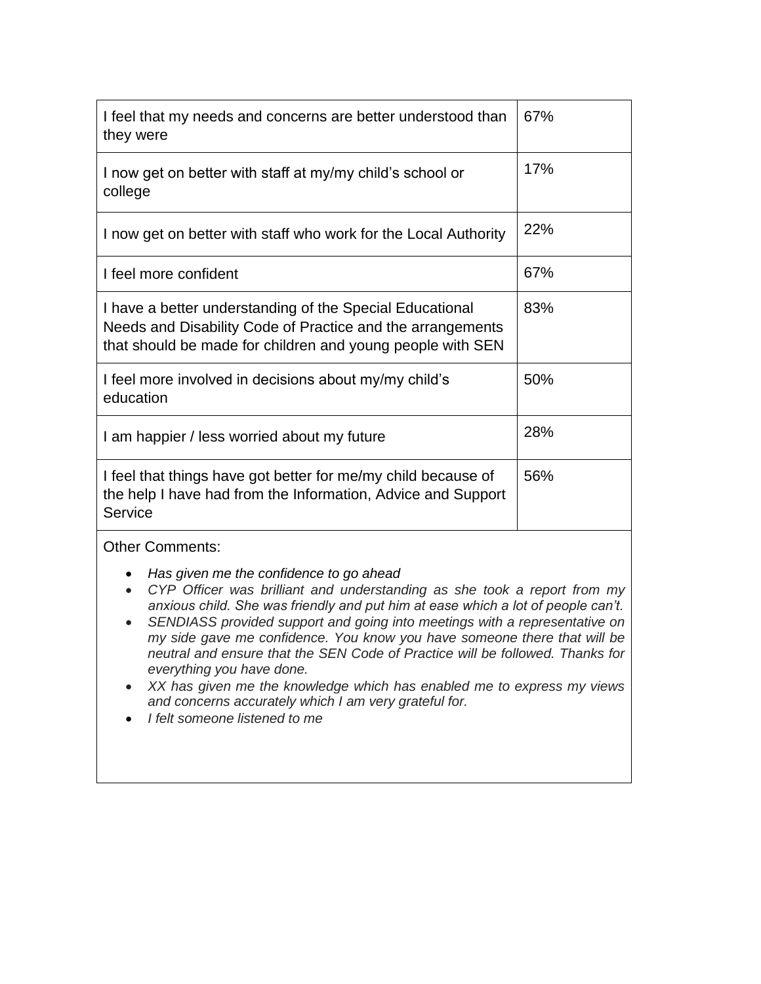| I feel that my needs and concerns are better understood than<br>they were                                                                                                            | 67% |  |
|--------------------------------------------------------------------------------------------------------------------------------------------------------------------------------------|-----|--|
| I now get on better with staff at my/my child's school or<br>college                                                                                                                 | 17% |  |
| I now get on better with staff who work for the Local Authority                                                                                                                      | 22% |  |
| I feel more confident                                                                                                                                                                | 67% |  |
| I have a better understanding of the Special Educational<br>Needs and Disability Code of Practice and the arrangements<br>that should be made for children and young people with SEN | 83% |  |
| I feel more involved in decisions about my/my child's<br>education                                                                                                                   | 50% |  |
| I am happier / less worried about my future                                                                                                                                          | 28% |  |
| I feel that things have got better for me/my child because of<br>the help I have had from the Information, Advice and Support<br>Service                                             | 56% |  |
| <b>Other Comments:</b>                                                                                                                                                               |     |  |
| Has given me the confidence to go ahead<br>CYP Officer was brilliant and understanding as she took a report from my                                                                  |     |  |

- *anxious child. She was friendly and put him at ease which a lot of people can't.* • *SENDIASS provided support and going into meetings with a representative on my side gave me confidence. You know you have someone there that will be neutral and ensure that the SEN Code of Practice will be followed. Thanks for everything you have done.*
- *XX has given me the knowledge which has enabled me to express my views and concerns accurately which I am very grateful for.*
- *I felt someone listened to me*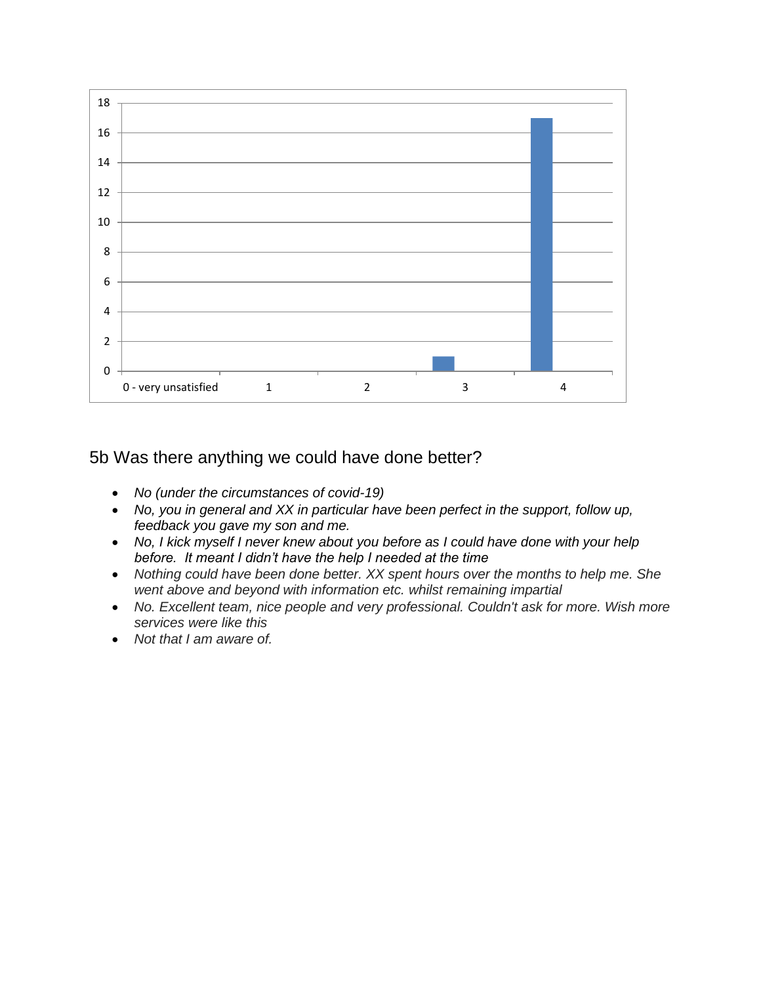

5b Was there anything we could have done better?

- *No (under the circumstances of covid-19)*
- *No, you in general and XX in particular have been perfect in the support, follow up, feedback you gave my son and me.*
- *No, I kick myself I never knew about you before as I could have done with your help before. It meant I didn't have the help I needed at the time*
- *Nothing could have been done better. XX spent hours over the months to help me. She went above and beyond with information etc. whilst remaining impartial*
- No. Excellent team, nice people and very professional. Couldn't ask for more. Wish more *services were like this*
- *Not that I am aware of.*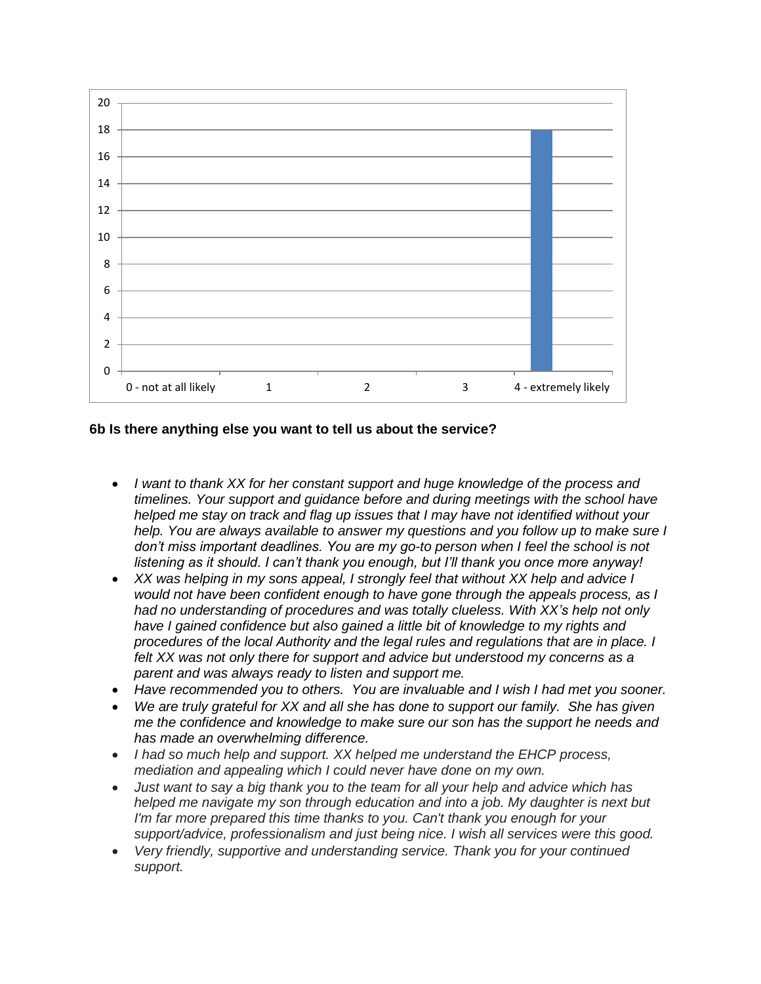

#### **6b Is there anything else you want to tell us about the service?**

- *I want to thank XX for her constant support and huge knowledge of the process and timelines. Your support and guidance before and during meetings with the school have helped me stay on track and flag up issues that I may have not identified without your help. You are always available to answer my questions and you follow up to make sure I*  don't miss important deadlines. You are my go-to person when I feel the school is not *listening as it should. I can't thank you enough, but I'll thank you once more anyway!*
- *XX was helping in my sons appeal, I strongly feel that without XX help and advice I would not have been confident enough to have gone through the appeals process, as I had no understanding of procedures and was totally clueless. With XX's help not only*  have I gained confidence but also gained a little bit of knowledge to my rights and *procedures of the local Authority and the legal rules and regulations that are in place. I felt XX was not only there for support and advice but understood my concerns as a parent and was always ready to listen and support me.*
- *Have recommended you to others. You are invaluable and I wish I had met you sooner.*
- *We are truly grateful for XX and all she has done to support our family. She has given me the confidence and knowledge to make sure our son has the support he needs and has made an overwhelming difference.*
- *I had so much help and support. XX helped me understand the EHCP process, mediation and appealing which I could never have done on my own.*
- *Just want to say a big thank you to the team for all your help and advice which has helped me navigate my son through education and into a job. My daughter is next but I'm far more prepared this time thanks to you. Can't thank you enough for your support/advice, professionalism and just being nice. I wish all services were this good.*
- *Very friendly, supportive and understanding service. Thank you for your continued support.*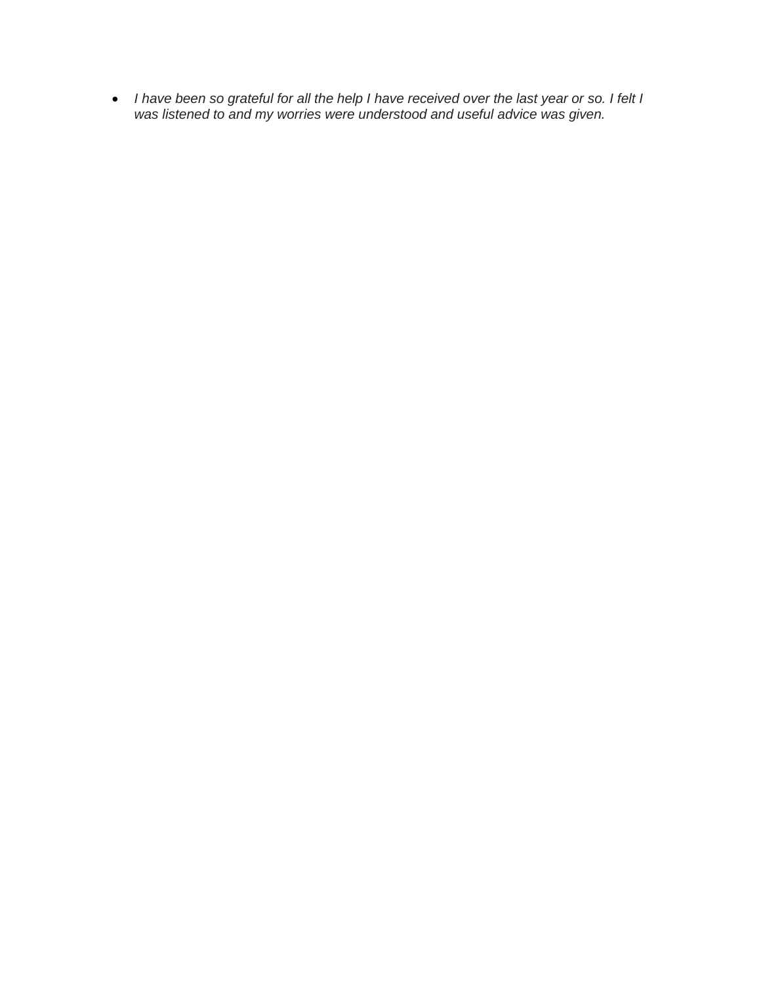• *I have been so grateful for all the help I have received over the last year or so. I felt I was listened to and my worries were understood and useful advice was given.*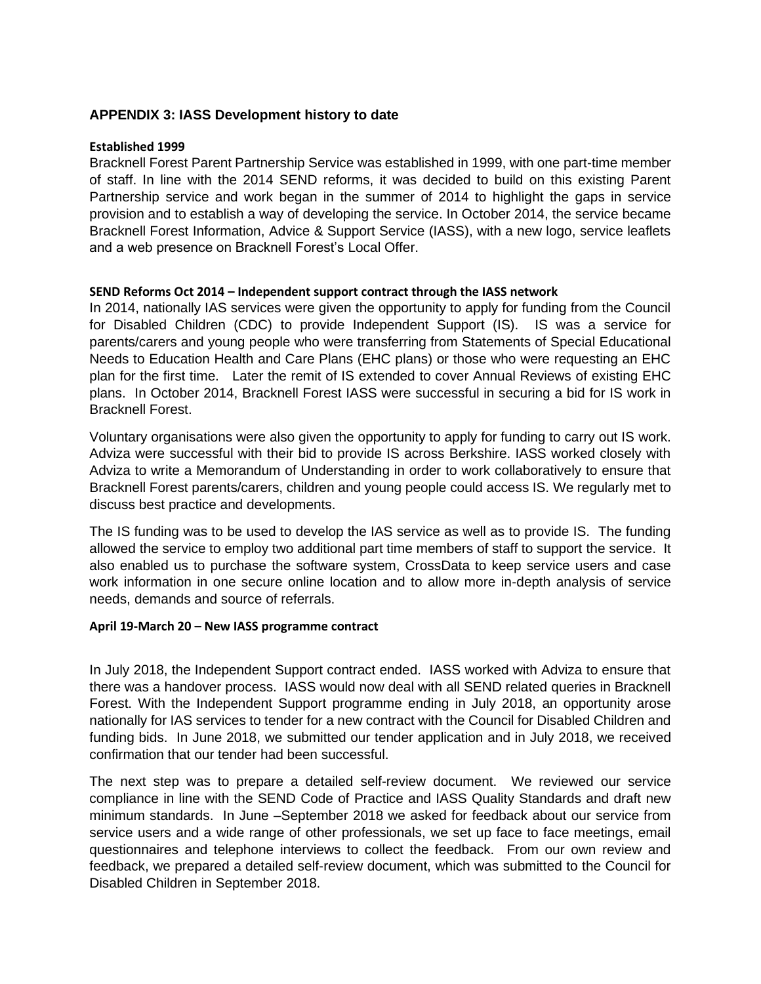#### **APPENDIX 3: IASS Development history to date**

#### **Established 1999**

Bracknell Forest Parent Partnership Service was established in 1999, with one part-time member of staff. In line with the 2014 SEND reforms, it was decided to build on this existing Parent Partnership service and work began in the summer of 2014 to highlight the gaps in service provision and to establish a way of developing the service. In October 2014, the service became Bracknell Forest Information, Advice & Support Service (IASS), with a new logo, service leaflets and a web presence on Bracknell Forest's Local Offer.

#### **SEND Reforms Oct 2014 – Independent support contract through the IASS network**

In 2014, nationally IAS services were given the opportunity to apply for funding from the Council for Disabled Children (CDC) to provide Independent Support (IS). IS was a service for parents/carers and young people who were transferring from Statements of Special Educational Needs to Education Health and Care Plans (EHC plans) or those who were requesting an EHC plan for the first time. Later the remit of IS extended to cover Annual Reviews of existing EHC plans. In October 2014, Bracknell Forest IASS were successful in securing a bid for IS work in Bracknell Forest.

Voluntary organisations were also given the opportunity to apply for funding to carry out IS work. Adviza were successful with their bid to provide IS across Berkshire. IASS worked closely with Adviza to write a Memorandum of Understanding in order to work collaboratively to ensure that Bracknell Forest parents/carers, children and young people could access IS. We regularly met to discuss best practice and developments.

The IS funding was to be used to develop the IAS service as well as to provide IS. The funding allowed the service to employ two additional part time members of staff to support the service. It also enabled us to purchase the software system, CrossData to keep service users and case work information in one secure online location and to allow more in-depth analysis of service needs, demands and source of referrals.

#### **April 19-March 20 – New IASS programme contract**

In July 2018, the Independent Support contract ended. IASS worked with Adviza to ensure that there was a handover process. IASS would now deal with all SEND related queries in Bracknell Forest. With the Independent Support programme ending in July 2018, an opportunity arose nationally for IAS services to tender for a new contract with the Council for Disabled Children and funding bids. In June 2018, we submitted our tender application and in July 2018, we received confirmation that our tender had been successful.

The next step was to prepare a detailed self-review document. We reviewed our service compliance in line with the SEND Code of Practice and IASS Quality Standards and draft new minimum standards. In June –September 2018 we asked for feedback about our service from service users and a wide range of other professionals, we set up face to face meetings, email questionnaires and telephone interviews to collect the feedback. From our own review and feedback, we prepared a detailed self-review document, which was submitted to the Council for Disabled Children in September 2018.